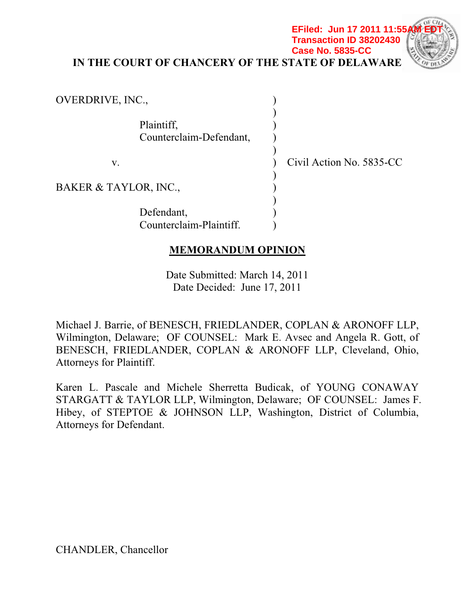**EFiled: Jun 17 2011 11:55 Transaction ID 38202430 Case No. 5835-CC**



**IN THE COURT OF CHANCERY OF THE STATE OF DELAWARE** 

| OVERDRIVE, INC.,                      |                          |
|---------------------------------------|--------------------------|
| Plaintiff,<br>Counterclaim-Defendant, |                          |
| V.                                    | Civil Action No. 5835-CC |
| BAKER & TAYLOR, INC.,                 |                          |
| Defendant,<br>Counterclaim-Plaintiff. |                          |
| <b>MEMORANDUM OPINION</b>             |                          |

Date Submitted: March 14, 2011 Date Decided: June 17, 2011

Michael J. Barrie, of BENESCH, FRIEDLANDER, COPLAN & ARONOFF LLP, Wilmington, Delaware; OF COUNSEL: Mark E. Avsec and Angela R. Gott, of BENESCH, FRIEDLANDER, COPLAN & ARONOFF LLP, Cleveland, Ohio, Attorneys for Plaintiff.

Karen L. Pascale and Michele Sherretta Budicak, of YOUNG CONAWAY STARGATT & TAYLOR LLP, Wilmington, Delaware; OF COUNSEL: James F. Hibey, of STEPTOE & JOHNSON LLP, Washington, District of Columbia, Attorneys for Defendant.

CHANDLER, Chancellor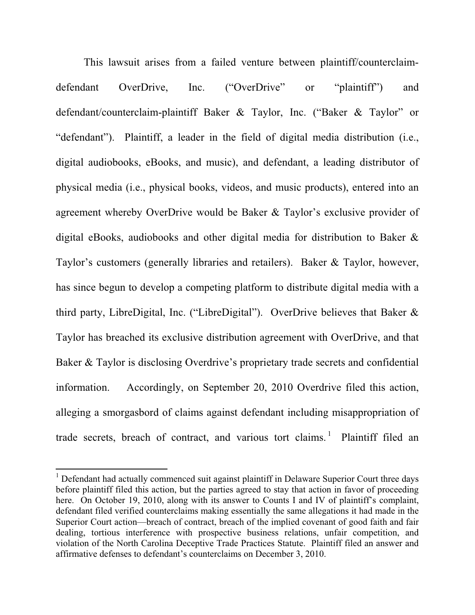This lawsuit arises from a failed venture between plaintiff/counterclaimdefendant OverDrive, Inc. ("OverDrive" or "plaintiff") and defendant/counterclaim-plaintiff Baker & Taylor, Inc. ("Baker & Taylor" or "defendant"). Plaintiff, a leader in the field of digital media distribution (i.e., digital audiobooks, eBooks, and music), and defendant, a leading distributor of physical media (i.e., physical books, videos, and music products), entered into an agreement whereby OverDrive would be Baker & Taylor's exclusive provider of digital eBooks, audiobooks and other digital media for distribution to Baker & Taylor's customers (generally libraries and retailers). Baker & Taylor, however, has since begun to develop a competing platform to distribute digital media with a third party, LibreDigital, Inc. ("LibreDigital"). OverDrive believes that Baker & Taylor has breached its exclusive distribution agreement with OverDrive, and that Baker & Taylor is disclosing Overdrive's proprietary trade secrets and confidential information. Accordingly, on September 20, 2010 Overdrive filed this action, alleging a smorgasbord of claims against defendant including misappropriation of trade secrets, breach of contract, and various tort claims.<sup>1</sup> Plaintiff filed an

<sup>&</sup>lt;sup>1</sup> Defendant had actually commenced suit against plaintiff in Delaware Superior Court three days before plaintiff filed this action, but the parties agreed to stay that action in favor of proceeding here. On October 19, 2010, along with its answer to Counts I and IV of plaintiff's complaint, defendant filed verified counterclaims making essentially the same allegations it had made in the Superior Court action—breach of contract, breach of the implied covenant of good faith and fair dealing, tortious interference with prospective business relations, unfair competition, and violation of the North Carolina Deceptive Trade Practices Statute. Plaintiff filed an answer and affirmative defenses to defendant's counterclaims on December 3, 2010.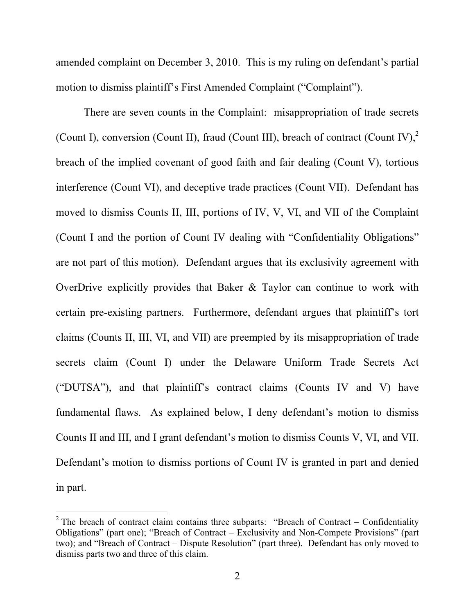amended complaint on December 3, 2010. This is my ruling on defendant's partial motion to dismiss plaintiff's First Amended Complaint ("Complaint").

There are seven counts in the Complaint: misappropriation of trade secrets (Count I), conversion (Count II), fraud (Count III), breach of contract (Count IV).<sup>2</sup> breach of the implied covenant of good faith and fair dealing (Count V), tortious interference (Count VI), and deceptive trade practices (Count VII). Defendant has moved to dismiss Counts II, III, portions of IV, V, VI, and VII of the Complaint (Count I and the portion of Count IV dealing with "Confidentiality Obligations" are not part of this motion). Defendant argues that its exclusivity agreement with OverDrive explicitly provides that Baker & Taylor can continue to work with certain pre-existing partners. Furthermore, defendant argues that plaintiff's tort claims (Counts II, III, VI, and VII) are preempted by its misappropriation of trade secrets claim (Count I) under the Delaware Uniform Trade Secrets Act ("DUTSA"), and that plaintiff's contract claims (Counts IV and V) have fundamental flaws. As explained below, I deny defendant's motion to dismiss Counts II and III, and I grant defendant's motion to dismiss Counts V, VI, and VII. Defendant's motion to dismiss portions of Count IV is granted in part and denied in part.

<sup>&</sup>lt;sup>2</sup> The breach of contract claim contains three subparts: "Breach of Contract – Confidentiality Obligations" (part one); "Breach of Contract – Exclusivity and Non-Compete Provisions" (part two); and "Breach of Contract – Dispute Resolution" (part three). Defendant has only moved to dismiss parts two and three of this claim.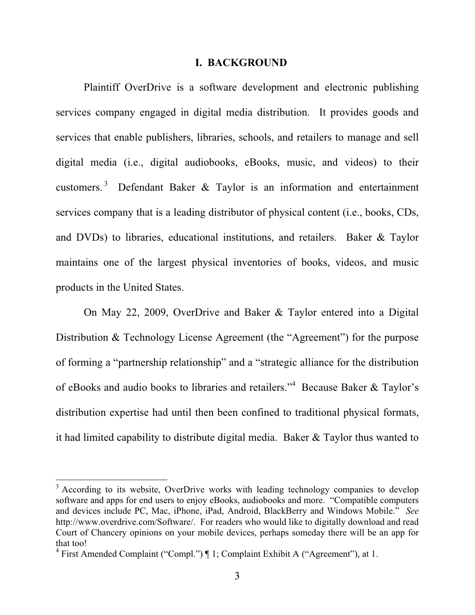#### **I. BACKGROUND**

Plaintiff OverDrive is a software development and electronic publishing services company engaged in digital media distribution. It provides goods and services that enable publishers, libraries, schools, and retailers to manage and sell digital media (i.e., digital audiobooks, eBooks, music, and videos) to their customers.<sup>3</sup> Defendant Baker & Taylor is an information and entertainment services company that is a leading distributor of physical content (i.e., books, CDs, and DVDs) to libraries, educational institutions, and retailers. Baker & Taylor maintains one of the largest physical inventories of books, videos, and music products in the United States.

On May 22, 2009, OverDrive and Baker & Taylor entered into a Digital Distribution & Technology License Agreement (the "Agreement") for the purpose of forming a "partnership relationship" and a "strategic alliance for the distribution of eBooks and audio books to libraries and retailers."<sup>4</sup> Because Baker & Taylor's distribution expertise had until then been confined to traditional physical formats, it had limited capability to distribute digital media. Baker & Taylor thus wanted to

<sup>&</sup>lt;sup>3</sup> According to its website, OverDrive works with leading technology companies to develop software and apps for end users to enjoy eBooks, audiobooks and more. "Compatible computers and devices include PC, Mac, iPhone, iPad, Android, BlackBerry and Windows Mobile." *See* http://www.overdrive.com/Software/. For readers who would like to digitally download and read Court of Chancery opinions on your mobile devices, perhaps someday there will be an app for that too!

<sup>&</sup>lt;sup>4</sup> First Amended Complaint ("Compl.") | 1; Complaint Exhibit A ("Agreement"), at 1.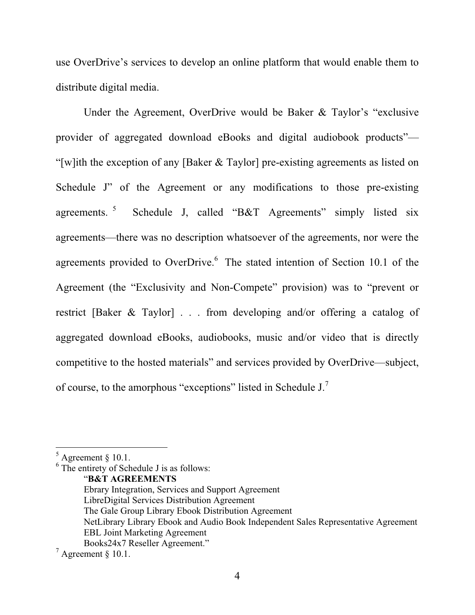use OverDrive's services to develop an online platform that would enable them to distribute digital media.

Under the Agreement, OverDrive would be Baker & Taylor's "exclusive provider of aggregated download eBooks and digital audiobook products"— "[w]ith the exception of any [Baker & Taylor] pre-existing agreements as listed on Schedule J" of the Agreement or any modifications to those pre-existing agreements.<sup>5</sup> Schedule J, called "B&T Agreements" simply listed six agreements—there was no description whatsoever of the agreements, nor were the agreements provided to OverDrive.<sup>6</sup> The stated intention of Section 10.1 of the Agreement (the "Exclusivity and Non-Compete" provision) was to "prevent or restrict [Baker & Taylor] . . . from developing and/or offering a catalog of aggregated download eBooks, audiobooks, music and/or video that is directly competitive to the hosted materials" and services provided by OverDrive—subject, of course, to the amorphous "exceptions" listed in Schedule J.<sup>7</sup>

6 The entirety of Schedule J is as follows:

 $<sup>5</sup>$  Agreement § 10.1.</sup>

<sup>&</sup>quot;**B&T AGREEMENTS**

Ebrary Integration, Services and Support Agreement LibreDigital Services Distribution Agreement The Gale Group Library Ebook Distribution Agreement NetLibrary Library Ebook and Audio Book Independent Sales Representative Agreement EBL Joint Marketing Agreement Books24x7 Reseller Agreement."

 $^7$  Agreement § 10.1.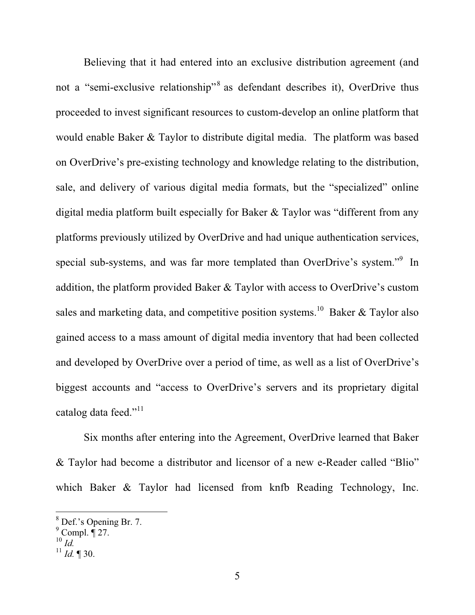Believing that it had entered into an exclusive distribution agreement (and not a "semi-exclusive relationship"<sup>8</sup> as defendant describes it), OverDrive thus proceeded to invest significant resources to custom-develop an online platform that would enable Baker & Taylor to distribute digital media. The platform was based on OverDrive's pre-existing technology and knowledge relating to the distribution, sale, and delivery of various digital media formats, but the "specialized" online digital media platform built especially for Baker & Taylor was "different from any platforms previously utilized by OverDrive and had unique authentication services, special sub-systems, and was far more templated than OverDrive's system."<sup>9</sup> In addition, the platform provided Baker & Taylor with access to OverDrive's custom sales and marketing data, and competitive position systems.<sup>10</sup> Baker & Taylor also gained access to a mass amount of digital media inventory that had been collected and developed by OverDrive over a period of time, as well as a list of OverDrive's biggest accounts and "access to OverDrive's servers and its proprietary digital catalog data feed."<sup>11</sup>

Six months after entering into the Agreement, OverDrive learned that Baker & Taylor had become a distributor and licensor of a new e-Reader called "Blio" which Baker & Taylor had licensed from knfb Reading Technology, Inc.

<sup>8</sup> Def.'s Opening Br. 7.

 $9^9$  Compl.  $\overline{9}$  27.

<sup>10</sup> *Id.*

 $^{11}$  *Id.* ¶ 30.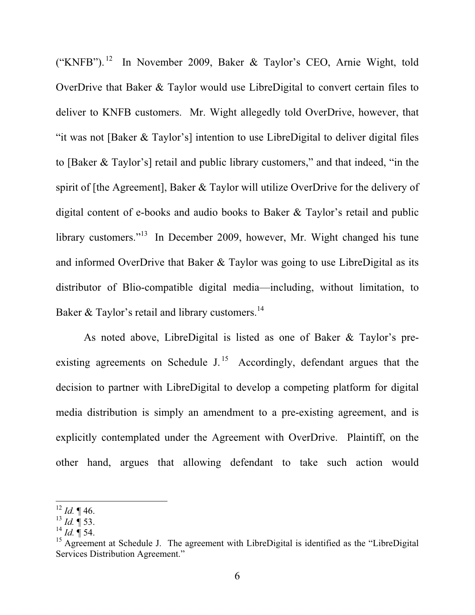("KNFB"). 12 In November 2009, Baker & Taylor's CEO, Arnie Wight, told OverDrive that Baker & Taylor would use LibreDigital to convert certain files to deliver to KNFB customers. Mr. Wight allegedly told OverDrive, however, that "it was not [Baker & Taylor's] intention to use LibreDigital to deliver digital files to [Baker & Taylor's] retail and public library customers," and that indeed, "in the spirit of [the Agreement], Baker & Taylor will utilize OverDrive for the delivery of digital content of e-books and audio books to Baker & Taylor's retail and public library customers."<sup>13</sup> In December 2009, however, Mr. Wight changed his tune and informed OverDrive that Baker & Taylor was going to use LibreDigital as its distributor of Blio-compatible digital media—including, without limitation, to Baker & Taylor's retail and library customers.<sup>14</sup>

As noted above, LibreDigital is listed as one of Baker & Taylor's preexisting agreements on Schedule J.<sup>15</sup> Accordingly, defendant argues that the decision to partner with LibreDigital to develop a competing platform for digital media distribution is simply an amendment to a pre-existing agreement, and is explicitly contemplated under the Agreement with OverDrive. Plaintiff, on the other hand, argues that allowing defendant to take such action would

<sup>12</sup> *Id.* ¶ 46.

 $^{13}$  *Id.*  $\mathbf{\bar{I}}$  53.

 $^{14}$  *Id.* ¶ 54.

<sup>&</sup>lt;sup>15</sup> Agreement at Schedule J. The agreement with LibreDigital is identified as the "LibreDigital" Services Distribution Agreement."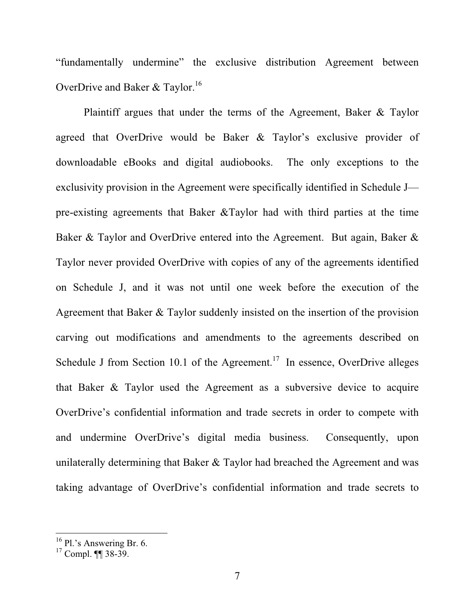"fundamentally undermine" the exclusive distribution Agreement between OverDrive and Baker & Taylor.<sup>16</sup>

Plaintiff argues that under the terms of the Agreement, Baker & Taylor agreed that OverDrive would be Baker & Taylor's exclusive provider of downloadable eBooks and digital audiobooks. The only exceptions to the exclusivity provision in the Agreement were specifically identified in Schedule J pre-existing agreements that Baker &Taylor had with third parties at the time Baker & Taylor and OverDrive entered into the Agreement. But again, Baker & Taylor never provided OverDrive with copies of any of the agreements identified on Schedule J, and it was not until one week before the execution of the Agreement that Baker & Taylor suddenly insisted on the insertion of the provision carving out modifications and amendments to the agreements described on Schedule J from Section 10.1 of the Agreement.<sup>17</sup> In essence, OverDrive alleges that Baker & Taylor used the Agreement as a subversive device to acquire OverDrive's confidential information and trade secrets in order to compete with and undermine OverDrive's digital media business. Consequently, upon unilaterally determining that Baker & Taylor had breached the Agreement and was taking advantage of OverDrive's confidential information and trade secrets to

 $16$  Pl.'s Answering Br. 6.

 $17$  Compl. **[1]** 38-39.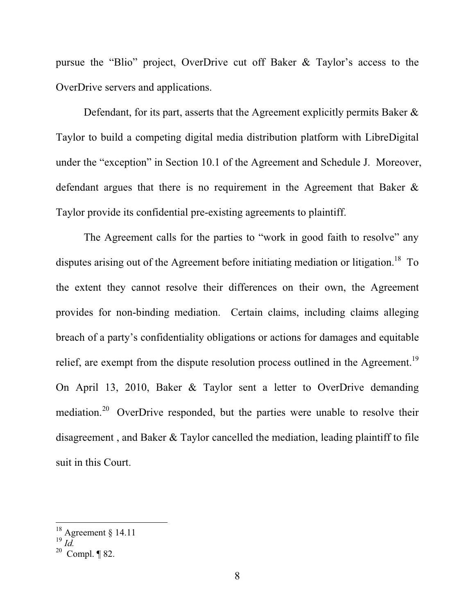pursue the "Blio" project, OverDrive cut off Baker & Taylor's access to the OverDrive servers and applications.

Defendant, for its part, asserts that the Agreement explicitly permits Baker & Taylor to build a competing digital media distribution platform with LibreDigital under the "exception" in Section 10.1 of the Agreement and Schedule J. Moreover, defendant argues that there is no requirement in the Agreement that Baker & Taylor provide its confidential pre-existing agreements to plaintiff.

The Agreement calls for the parties to "work in good faith to resolve" any disputes arising out of the Agreement before initiating mediation or litigation.<sup>18</sup> To the extent they cannot resolve their differences on their own, the Agreement provides for non-binding mediation. Certain claims, including claims alleging breach of a party's confidentiality obligations or actions for damages and equitable relief, are exempt from the dispute resolution process outlined in the Agreement.<sup>19</sup> On April 13, 2010, Baker & Taylor sent a letter to OverDrive demanding mediation.<sup>20</sup> OverDrive responded, but the parties were unable to resolve their disagreement , and Baker & Taylor cancelled the mediation, leading plaintiff to file suit in this Court.

 $18$  Agreement § 14.11

<sup>19</sup> *Id.*

 $20$  Compl. ¶ 82.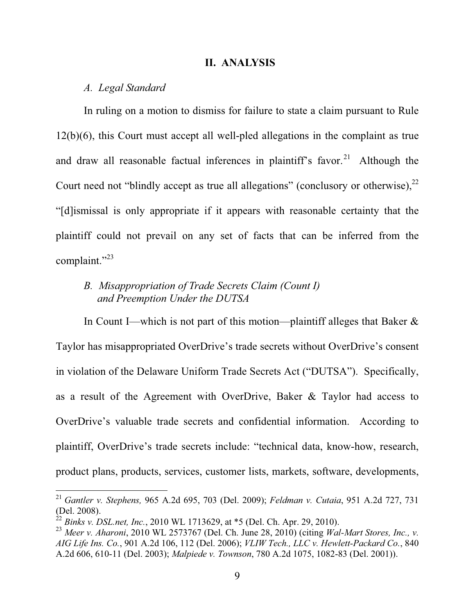#### **II. ANALYSIS**

#### *A. Legal Standard*

In ruling on a motion to dismiss for failure to state a claim pursuant to Rule 12(b)(6), this Court must accept all well-pled allegations in the complaint as true and draw all reasonable factual inferences in plaintiff's favor.<sup>21</sup> Although the Court need not "blindly accept as true all allegations" (conclusory or otherwise),  $2^2$ "[d]ismissal is only appropriate if it appears with reasonable certainty that the plaintiff could not prevail on any set of facts that can be inferred from the complaint."<sup>23</sup>

# *B. Misappropriation of Trade Secrets Claim (Count I) and Preemption Under the DUTSA*

In Count I—which is not part of this motion—plaintiff alleges that Baker  $\&$ Taylor has misappropriated OverDrive's trade secrets without OverDrive's consent in violation of the Delaware Uniform Trade Secrets Act ("DUTSA"). Specifically, as a result of the Agreement with OverDrive, Baker & Taylor had access to OverDrive's valuable trade secrets and confidential information. According to plaintiff, OverDrive's trade secrets include: "technical data, know-how, research, product plans, products, services, customer lists, markets, software, developments,

<sup>21</sup> *Gantler v. Stephens,* 965 A.2d 695, 703 (Del. 2009); *Feldman v. Cutaia*, 951 A.2d 727, 731 (Del. 2008).

<sup>22</sup> *Binks v. DSL.net, Inc.*, 2010 WL 1713629, at \*5 (Del. Ch. Apr. 29, 2010).

<sup>23</sup> *Meer v. Aharoni*, 2010 WL 2573767 (Del. Ch. June 28, 2010) (citing *Wal-Mart Stores, Inc., v. AIG Life Ins. Co.*, 901 A.2d 106, 112 (Del. 2006); *VLIW Tech., LLC v. Hewlett-Packard Co.*, 840 A.2d 606, 610-11 (Del. 2003); *Malpiede v. Townson*, 780 A.2d 1075, 1082-83 (Del. 2001)).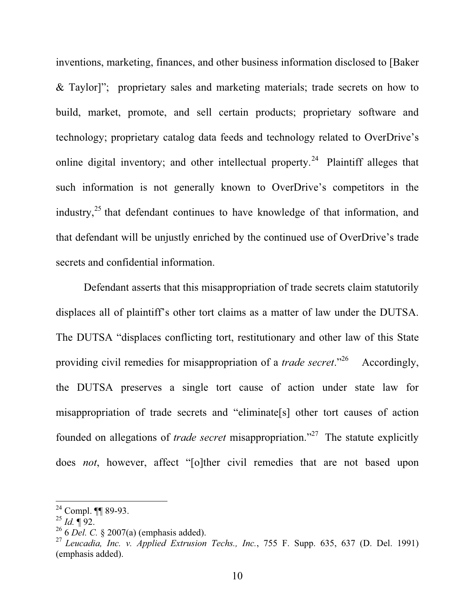inventions, marketing, finances, and other business information disclosed to [Baker & Taylor]"; proprietary sales and marketing materials; trade secrets on how to build, market, promote, and sell certain products; proprietary software and technology; proprietary catalog data feeds and technology related to OverDrive's online digital inventory; and other intellectual property.<sup>24</sup> Plaintiff alleges that such information is not generally known to OverDrive's competitors in the industry, $^{25}$  that defendant continues to have knowledge of that information, and that defendant will be unjustly enriched by the continued use of OverDrive's trade secrets and confidential information.

Defendant asserts that this misappropriation of trade secrets claim statutorily displaces all of plaintiff's other tort claims as a matter of law under the DUTSA. The DUTSA "displaces conflicting tort, restitutionary and other law of this State providing civil remedies for misappropriation of a *trade secret*."26 Accordingly, the DUTSA preserves a single tort cause of action under state law for misappropriation of trade secrets and "eliminate[s] other tort causes of action founded on allegations of *trade secret* misappropriation."27 The statute explicitly does *not*, however, affect "[o]ther civil remedies that are not based upon

<sup>24</sup> Compl. ¶¶ 89-93.

 $^{25}$  *Id.* ¶ 92.

<sup>26 6</sup> *Del. C.* § 2007(a) (emphasis added).

<sup>27</sup> *Leucadia, Inc. v. Applied Extrusion Techs., Inc.*, 755 F. Supp. 635, 637 (D. Del. 1991) (emphasis added).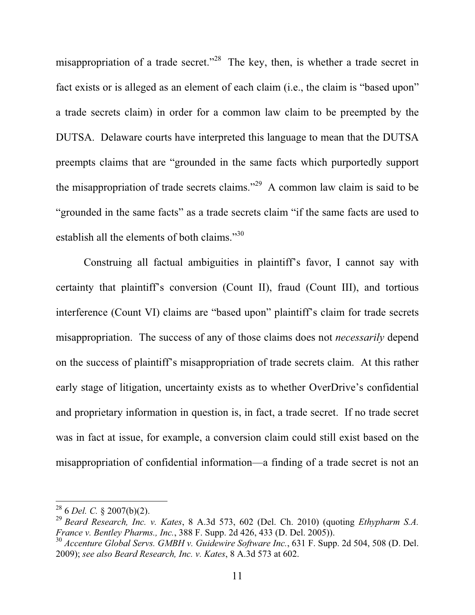misappropriation of a trade secret."<sup>28</sup> The key, then, is whether a trade secret in fact exists or is alleged as an element of each claim (i.e., the claim is "based upon" a trade secrets claim) in order for a common law claim to be preempted by the DUTSA. Delaware courts have interpreted this language to mean that the DUTSA preempts claims that are "grounded in the same facts which purportedly support the misappropriation of trade secrets claims."<sup>29</sup> A common law claim is said to be "grounded in the same facts" as a trade secrets claim "if the same facts are used to establish all the elements of both claims."<sup>30</sup>

Construing all factual ambiguities in plaintiff's favor, I cannot say with certainty that plaintiff's conversion (Count II), fraud (Count III), and tortious interference (Count VI) claims are "based upon" plaintiff's claim for trade secrets misappropriation. The success of any of those claims does not *necessarily* depend on the success of plaintiff's misappropriation of trade secrets claim. At this rather early stage of litigation, uncertainty exists as to whether OverDrive's confidential and proprietary information in question is, in fact, a trade secret. If no trade secret was in fact at issue, for example, a conversion claim could still exist based on the misappropriation of confidential information—a finding of a trade secret is not an

<sup>28 6</sup> *Del. C.* § 2007(b)(2).

<sup>29</sup> *Beard Research, Inc. v. Kates*, 8 A.3d 573, 602 (Del. Ch. 2010) (quoting *Ethypharm S.A. France v. Bentley Pharms., Inc.*, 388 F. Supp. 2d 426, 433 (D. Del. 2005)).

<sup>30</sup> *Accenture Global Servs. GMBH v. Guidewire Software Inc.*, 631 F. Supp. 2d 504, 508 (D. Del. 2009); *see also Beard Research, Inc. v. Kates*, 8 A.3d 573 at 602.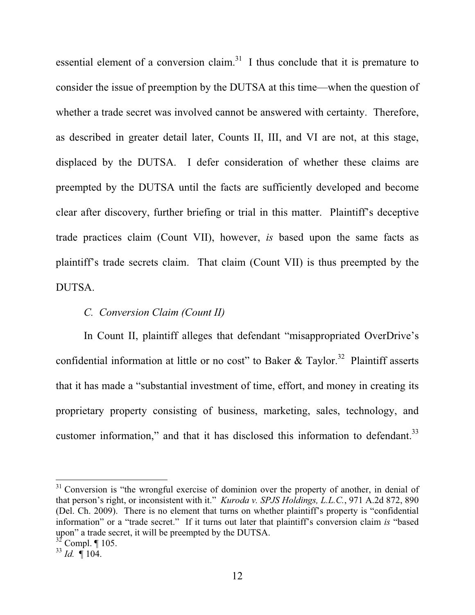essential element of a conversion claim.<sup>31</sup> I thus conclude that it is premature to consider the issue of preemption by the DUTSA at this time—when the question of whether a trade secret was involved cannot be answered with certainty. Therefore, as described in greater detail later, Counts II, III, and VI are not, at this stage, displaced by the DUTSA. I defer consideration of whether these claims are preempted by the DUTSA until the facts are sufficiently developed and become clear after discovery, further briefing or trial in this matter. Plaintiff's deceptive trade practices claim (Count VII), however, *is* based upon the same facts as plaintiff's trade secrets claim. That claim (Count VII) is thus preempted by the DUTSA.

# *C. Conversion Claim (Count II)*

In Count II, plaintiff alleges that defendant "misappropriated OverDrive's confidential information at little or no cost" to Baker & Taylor.<sup>32</sup> Plaintiff asserts that it has made a "substantial investment of time, effort, and money in creating its proprietary property consisting of business, marketing, sales, technology, and customer information," and that it has disclosed this information to defendant.<sup>33</sup>

 $31$  Conversion is "the wrongful exercise of dominion over the property of another, in denial of that person's right, or inconsistent with it." *Kuroda v. SPJS Holdings, L.L.C.*, 971 A.2d 872, 890 (Del. Ch. 2009). There is no element that turns on whether plaintiff's property is "confidential information" or a "trade secret." If it turns out later that plaintiff's conversion claim *is* "based upon" a trade secret, it will be preempted by the DUTSA.

 $32$  Compl. ¶ 105.

 $^{33}$  *Id.*  $\sqrt{\phantom{0}}104$ .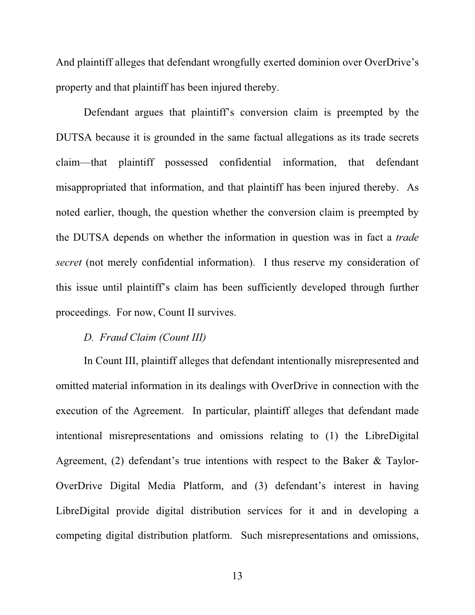And plaintiff alleges that defendant wrongfully exerted dominion over OverDrive's property and that plaintiff has been injured thereby.

Defendant argues that plaintiff's conversion claim is preempted by the DUTSA because it is grounded in the same factual allegations as its trade secrets claim—that plaintiff possessed confidential information, that defendant misappropriated that information, and that plaintiff has been injured thereby. As noted earlier, though, the question whether the conversion claim is preempted by the DUTSA depends on whether the information in question was in fact a *trade secret* (not merely confidential information). I thus reserve my consideration of this issue until plaintiff's claim has been sufficiently developed through further proceedings. For now, Count II survives.

## *D. Fraud Claim (Count III)*

In Count III, plaintiff alleges that defendant intentionally misrepresented and omitted material information in its dealings with OverDrive in connection with the execution of the Agreement. In particular, plaintiff alleges that defendant made intentional misrepresentations and omissions relating to (1) the LibreDigital Agreement, (2) defendant's true intentions with respect to the Baker & Taylor-OverDrive Digital Media Platform, and (3) defendant's interest in having LibreDigital provide digital distribution services for it and in developing a competing digital distribution platform. Such misrepresentations and omissions,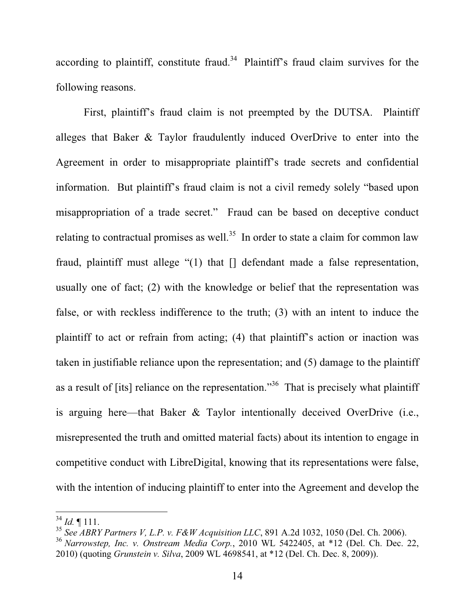according to plaintiff, constitute fraud. $34$  Plaintiff's fraud claim survives for the following reasons.

First, plaintiff's fraud claim is not preempted by the DUTSA. Plaintiff alleges that Baker & Taylor fraudulently induced OverDrive to enter into the Agreement in order to misappropriate plaintiff's trade secrets and confidential information. But plaintiff's fraud claim is not a civil remedy solely "based upon misappropriation of a trade secret." Fraud can be based on deceptive conduct relating to contractual promises as well.<sup>35</sup> In order to state a claim for common law fraud, plaintiff must allege "(1) that [] defendant made a false representation, usually one of fact; (2) with the knowledge or belief that the representation was false, or with reckless indifference to the truth; (3) with an intent to induce the plaintiff to act or refrain from acting; (4) that plaintiff's action or inaction was taken in justifiable reliance upon the representation; and (5) damage to the plaintiff as a result of [its] reliance on the representation."<sup>36</sup> That is precisely what plaintiff is arguing here—that Baker & Taylor intentionally deceived OverDrive (i.e., misrepresented the truth and omitted material facts) about its intention to engage in competitive conduct with LibreDigital, knowing that its representations were false, with the intention of inducing plaintiff to enter into the Agreement and develop the

 $34$  *Id.*  $\llbracket 111 \rrbracket$ .

<sup>35</sup> *See ABRY Partners V, L.P. v. F&W Acquisition LLC*, 891 A.2d 1032, 1050 (Del. Ch. 2006).

<sup>36</sup> *Narrowstep, Inc. v. Onstream Media Corp.*, 2010 WL 5422405, at \*12 (Del. Ch. Dec. 22, 2010) (quoting *Grunstein v. Silva*, 2009 WL 4698541, at \*12 (Del. Ch. Dec. 8, 2009)).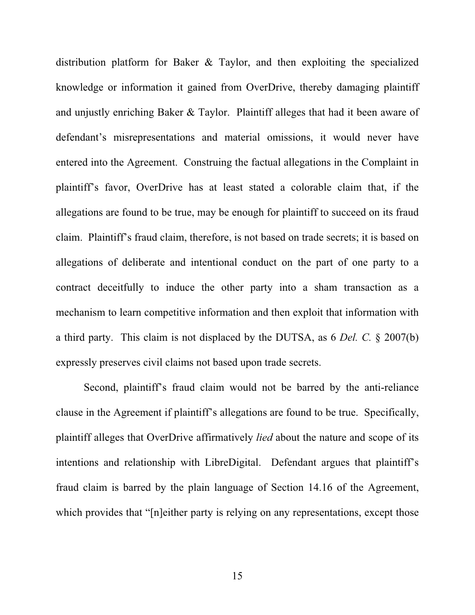distribution platform for Baker & Taylor, and then exploiting the specialized knowledge or information it gained from OverDrive, thereby damaging plaintiff and unjustly enriching Baker & Taylor. Plaintiff alleges that had it been aware of defendant's misrepresentations and material omissions, it would never have entered into the Agreement. Construing the factual allegations in the Complaint in plaintiff's favor, OverDrive has at least stated a colorable claim that, if the allegations are found to be true, may be enough for plaintiff to succeed on its fraud claim. Plaintiff's fraud claim, therefore, is not based on trade secrets; it is based on allegations of deliberate and intentional conduct on the part of one party to a contract deceitfully to induce the other party into a sham transaction as a mechanism to learn competitive information and then exploit that information with a third party. This claim is not displaced by the DUTSA, as 6 *Del. C.* § 2007(b) expressly preserves civil claims not based upon trade secrets.

Second, plaintiff's fraud claim would not be barred by the anti-reliance clause in the Agreement if plaintiff's allegations are found to be true. Specifically, plaintiff alleges that OverDrive affirmatively *lied* about the nature and scope of its intentions and relationship with LibreDigital. Defendant argues that plaintiff's fraud claim is barred by the plain language of Section 14.16 of the Agreement, which provides that "[n]either party is relying on any representations, except those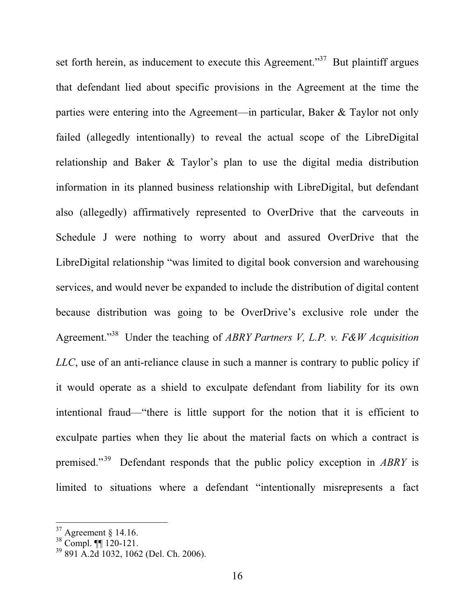set forth herein, as inducement to execute this Agreement."<sup>37</sup> But plaintiff argues that defendant lied about specific provisions in the Agreement at the time the parties were entering into the Agreement—in particular, Baker & Taylor not only failed (allegedly intentionally) to reveal the actual scope of the LibreDigital relationship and Baker & Taylor's plan to use the digital media distribution information in its planned business relationship with LibreDigital, but defendant also (allegedly) affirmatively represented to OverDrive that the carveouts in Schedule J were nothing to worry about and assured OverDrive that the LibreDigital relationship "was limited to digital book conversion and warehousing services, and would never be expanded to include the distribution of digital content because distribution was going to be OverDrive's exclusive role under the Agreement."38 Under the teaching of *ABRY Partners V, L.P. v. F&W Acquisition LLC*, use of an anti-reliance clause in such a manner is contrary to public policy if it would operate as a shield to exculpate defendant from liability for its own intentional fraud—"there is little support for the notion that it is efficient to exculpate parties when they lie about the material facts on which a contract is premised."39 Defendant responds that the public policy exception in *ABRY* is limited to situations where a defendant "intentionally misrepresents a fact

 $37$  Agreement § 14.16.

<sup>38</sup> Compl. ¶¶ 120-121.

<sup>39 891</sup> A.2d 1032, 1062 (Del. Ch. 2006).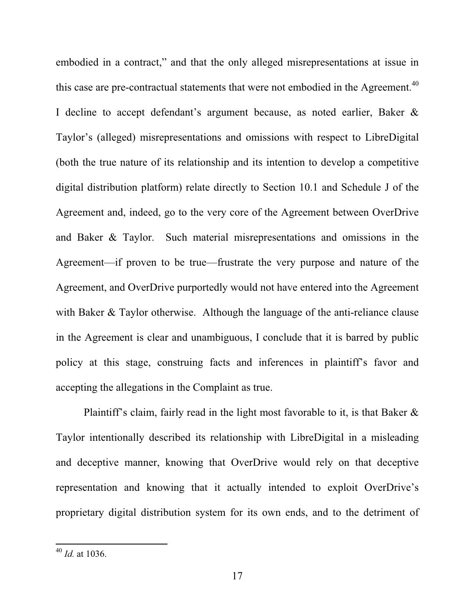embodied in a contract," and that the only alleged misrepresentations at issue in this case are pre-contractual statements that were not embodied in the Agreement.<sup>40</sup> I decline to accept defendant's argument because, as noted earlier, Baker & Taylor's (alleged) misrepresentations and omissions with respect to LibreDigital (both the true nature of its relationship and its intention to develop a competitive digital distribution platform) relate directly to Section 10.1 and Schedule J of the Agreement and, indeed, go to the very core of the Agreement between OverDrive and Baker & Taylor. Such material misrepresentations and omissions in the Agreement—if proven to be true—frustrate the very purpose and nature of the Agreement, and OverDrive purportedly would not have entered into the Agreement with Baker & Taylor otherwise. Although the language of the anti-reliance clause in the Agreement is clear and unambiguous, I conclude that it is barred by public policy at this stage, construing facts and inferences in plaintiff's favor and accepting the allegations in the Complaint as true.

Plaintiff's claim, fairly read in the light most favorable to it, is that Baker & Taylor intentionally described its relationship with LibreDigital in a misleading and deceptive manner, knowing that OverDrive would rely on that deceptive representation and knowing that it actually intended to exploit OverDrive's proprietary digital distribution system for its own ends, and to the detriment of

<sup>40</sup> *Id.* at 1036.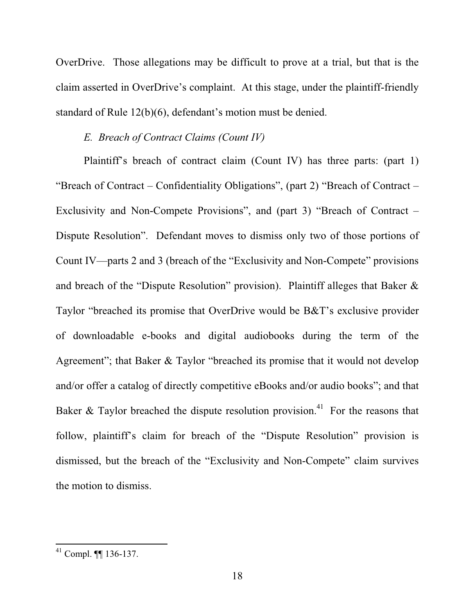OverDrive. Those allegations may be difficult to prove at a trial, but that is the claim asserted in OverDrive's complaint. At this stage, under the plaintiff-friendly standard of Rule 12(b)(6), defendant's motion must be denied.

# *E. Breach of Contract Claims (Count IV)*

Plaintiff's breach of contract claim (Count IV) has three parts: (part 1) "Breach of Contract – Confidentiality Obligations", (part 2) "Breach of Contract – Exclusivity and Non-Compete Provisions", and (part 3) "Breach of Contract – Dispute Resolution". Defendant moves to dismiss only two of those portions of Count IV—parts 2 and 3 (breach of the "Exclusivity and Non-Compete" provisions and breach of the "Dispute Resolution" provision). Plaintiff alleges that Baker & Taylor "breached its promise that OverDrive would be B&T's exclusive provider of downloadable e-books and digital audiobooks during the term of the Agreement"; that Baker & Taylor "breached its promise that it would not develop and/or offer a catalog of directly competitive eBooks and/or audio books"; and that Baker & Taylor breached the dispute resolution provision.<sup>41</sup> For the reasons that follow, plaintiff's claim for breach of the "Dispute Resolution" provision is dismissed, but the breach of the "Exclusivity and Non-Compete" claim survives the motion to dismiss.

<sup>41</sup> Compl. ¶¶ 136-137.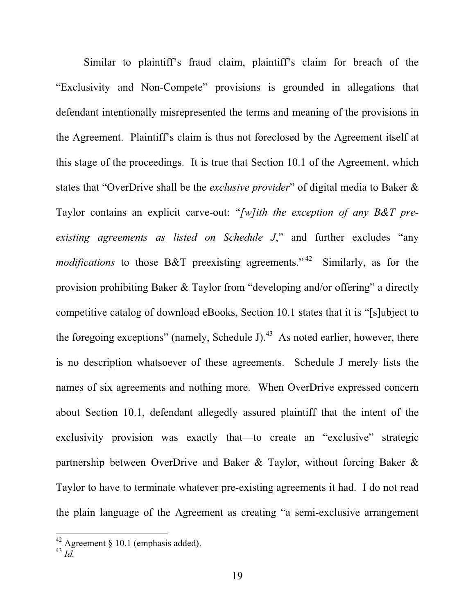Similar to plaintiff's fraud claim, plaintiff's claim for breach of the "Exclusivity and Non-Compete" provisions is grounded in allegations that defendant intentionally misrepresented the terms and meaning of the provisions in the Agreement. Plaintiff's claim is thus not foreclosed by the Agreement itself at this stage of the proceedings. It is true that Section 10.1 of the Agreement, which states that "OverDrive shall be the *exclusive provider*" of digital media to Baker & Taylor contains an explicit carve-out: "*[w]ith the exception of any B&T preexisting agreements as listed on Schedule J*," and further excludes "any *modifications* to those B&T preexisting agreements."<sup>42</sup> Similarly, as for the provision prohibiting Baker & Taylor from "developing and/or offering" a directly competitive catalog of download eBooks, Section 10.1 states that it is "[s]ubject to the foregoing exceptions" (namely, Schedule J).<sup>43</sup> As noted earlier, however, there is no description whatsoever of these agreements. Schedule J merely lists the names of six agreements and nothing more. When OverDrive expressed concern about Section 10.1, defendant allegedly assured plaintiff that the intent of the exclusivity provision was exactly that—to create an "exclusive" strategic partnership between OverDrive and Baker & Taylor, without forcing Baker & Taylor to have to terminate whatever pre-existing agreements it had. I do not read the plain language of the Agreement as creating "a semi-exclusive arrangement

 $42$  Agreement § 10.1 (emphasis added).

<sup>43</sup> *Id.*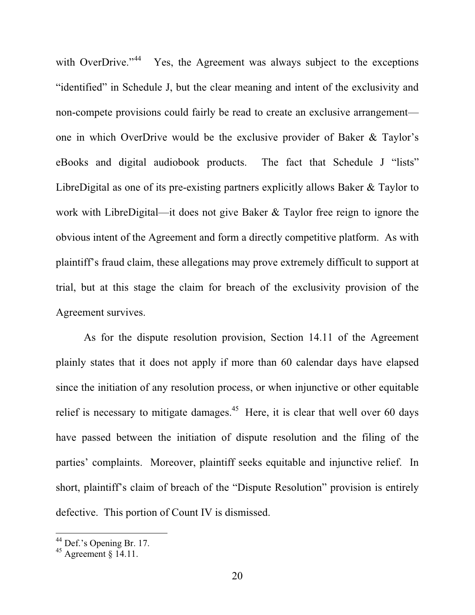with OverDrive."<sup>44</sup> Yes, the Agreement was always subject to the exceptions "identified" in Schedule J, but the clear meaning and intent of the exclusivity and non-compete provisions could fairly be read to create an exclusive arrangement one in which OverDrive would be the exclusive provider of Baker & Taylor's eBooks and digital audiobook products. The fact that Schedule J "lists" LibreDigital as one of its pre-existing partners explicitly allows Baker & Taylor to work with LibreDigital—it does not give Baker & Taylor free reign to ignore the obvious intent of the Agreement and form a directly competitive platform. As with plaintiff's fraud claim, these allegations may prove extremely difficult to support at trial, but at this stage the claim for breach of the exclusivity provision of the Agreement survives.

As for the dispute resolution provision, Section 14.11 of the Agreement plainly states that it does not apply if more than 60 calendar days have elapsed since the initiation of any resolution process, or when injunctive or other equitable relief is necessary to mitigate damages.<sup>45</sup> Here, it is clear that well over 60 days have passed between the initiation of dispute resolution and the filing of the parties' complaints. Moreover, plaintiff seeks equitable and injunctive relief. In short, plaintiff's claim of breach of the "Dispute Resolution" provision is entirely defective. This portion of Count IV is dismissed.

 $^{44}$  Def.'s Opening Br. 17.

 $45$  Agreement  $\overline{\smash{8}}$  14.11.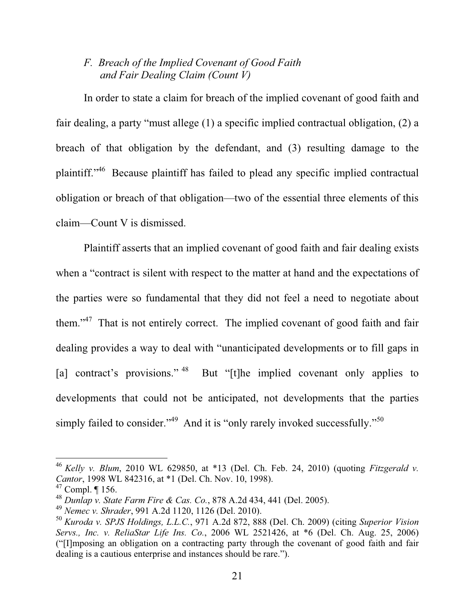# *F. Breach of the Implied Covenant of Good Faith and Fair Dealing Claim (Count V)*

In order to state a claim for breach of the implied covenant of good faith and fair dealing, a party "must allege (1) a specific implied contractual obligation, (2) a breach of that obligation by the defendant, and (3) resulting damage to the plaintiff."46 Because plaintiff has failed to plead any specific implied contractual obligation or breach of that obligation—two of the essential three elements of this claim—Count V is dismissed.

Plaintiff asserts that an implied covenant of good faith and fair dealing exists when a "contract is silent with respect to the matter at hand and the expectations of the parties were so fundamental that they did not feel a need to negotiate about them."<sup>47</sup> That is not entirely correct. The implied covenant of good faith and fair dealing provides a way to deal with "unanticipated developments or to fill gaps in [a] contract's provisions."<sup>48</sup> But "[t]he implied covenant only applies to developments that could not be anticipated, not developments that the parties simply failed to consider."<sup>49</sup> And it is "only rarely invoked successfully."<sup>50</sup>

<sup>46</sup> *Kelly v. Blum*, 2010 WL 629850, at \*13 (Del. Ch. Feb. 24, 2010) (quoting *Fitzgerald v. Cantor*, 1998 WL 842316, at \*1 (Del. Ch. Nov. 10, 1998).

 $47$  Compl. | 156.

<sup>48</sup> *Dunlap v. State Farm Fire & Cas. Co.*, 878 A.2d 434, 441 (Del. 2005).

<sup>49</sup> *Nemec v. Shrader*, 991 A.2d 1120, 1126 (Del. 2010).

<sup>50</sup> *Kuroda v. SPJS Holdings, L.L.C.*, 971 A.2d 872, 888 (Del. Ch. 2009) (citing *Superior Vision Servs., Inc. v. ReliaStar Life Ins. Co.*, 2006 WL 2521426, at \*6 (Del. Ch. Aug. 25, 2006) ("[I]mposing an obligation on a contracting party through the covenant of good faith and fair dealing is a cautious enterprise and instances should be rare.").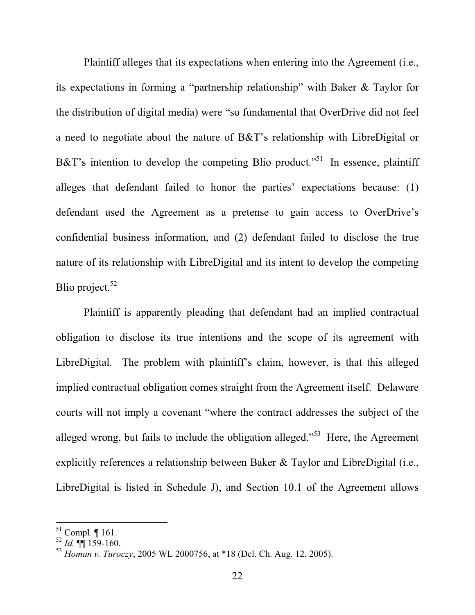Plaintiff alleges that its expectations when entering into the Agreement (i.e., its expectations in forming a "partnership relationship" with Baker & Taylor for the distribution of digital media) were "so fundamental that OverDrive did not feel a need to negotiate about the nature of B&T's relationship with LibreDigital or B&T's intention to develop the competing Blio product."<sup>51</sup> In essence, plaintiff alleges that defendant failed to honor the parties' expectations because: (1) defendant used the Agreement as a pretense to gain access to OverDrive's confidential business information, and (2) defendant failed to disclose the true nature of its relationship with LibreDigital and its intent to develop the competing Blio project. $52$ 

Plaintiff is apparently pleading that defendant had an implied contractual obligation to disclose its true intentions and the scope of its agreement with LibreDigital. The problem with plaintiff's claim, however, is that this alleged implied contractual obligation comes straight from the Agreement itself. Delaware courts will not imply a covenant "where the contract addresses the subject of the alleged wrong, but fails to include the obligation alleged."<sup>53</sup> Here, the Agreement explicitly references a relationship between Baker & Taylor and LibreDigital (i.e., LibreDigital is listed in Schedule J), and Section 10.1 of the Agreement allows

 $51$  Compl.  $\P$  161.

 $^{52}$  *Id.*  $\P$  $\overline{\phantom{1}}$  159-160.

<sup>53</sup> *Homan v. Turoczy*, 2005 WL 2000756, at \*18 (Del. Ch. Aug. 12, 2005).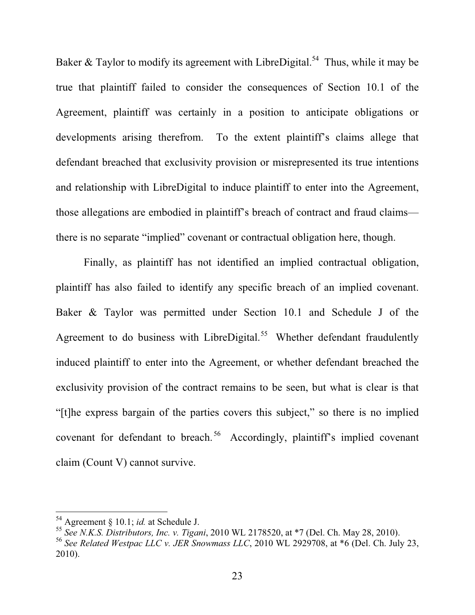Baker & Taylor to modify its agreement with LibreDigital.<sup>54</sup> Thus, while it may be true that plaintiff failed to consider the consequences of Section 10.1 of the Agreement, plaintiff was certainly in a position to anticipate obligations or developments arising therefrom. To the extent plaintiff's claims allege that defendant breached that exclusivity provision or misrepresented its true intentions and relationship with LibreDigital to induce plaintiff to enter into the Agreement, those allegations are embodied in plaintiff's breach of contract and fraud claims there is no separate "implied" covenant or contractual obligation here, though.

Finally, as plaintiff has not identified an implied contractual obligation, plaintiff has also failed to identify any specific breach of an implied covenant. Baker & Taylor was permitted under Section 10.1 and Schedule J of the Agreement to do business with LibreDigital.<sup>55</sup> Whether defendant fraudulently induced plaintiff to enter into the Agreement, or whether defendant breached the exclusivity provision of the contract remains to be seen, but what is clear is that "[t]he express bargain of the parties covers this subject," so there is no implied covenant for defendant to breach. 56 Accordingly, plaintiff's implied covenant claim (Count V) cannot survive.

<sup>54</sup> Agreement § 10.1; *id.* at Schedule J.

<sup>55</sup> *See N.K.S. Distributors, Inc. v. Tigani*, 2010 WL 2178520, at \*7 (Del. Ch. May 28, 2010).

<sup>56</sup> *See Related Westpac LLC v. JER Snowmass LLC*, 2010 WL 2929708, at \*6 (Del. Ch. July 23, 2010).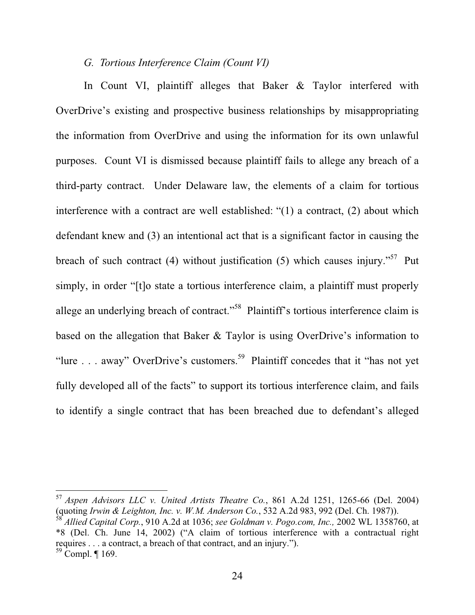## *G. Tortious Interference Claim (Count VI)*

In Count VI, plaintiff alleges that Baker & Taylor interfered with OverDrive's existing and prospective business relationships by misappropriating the information from OverDrive and using the information for its own unlawful purposes. Count VI is dismissed because plaintiff fails to allege any breach of a third-party contract. Under Delaware law, the elements of a claim for tortious interference with a contract are well established: "(1) a contract, (2) about which defendant knew and (3) an intentional act that is a significant factor in causing the breach of such contract (4) without justification (5) which causes injury."<sup>57</sup> Put simply, in order "[t]o state a tortious interference claim, a plaintiff must properly allege an underlying breach of contract."<sup>58</sup> Plaintiff's tortious interference claim is based on the allegation that Baker & Taylor is using OverDrive's information to "lure . . . away" OverDrive's customers.<sup>59</sup> Plaintiff concedes that it "has not yet" fully developed all of the facts" to support its tortious interference claim, and fails to identify a single contract that has been breached due to defendant's alleged

<sup>57</sup> *Aspen Advisors LLC v. United Artists Theatre Co.*, 861 A.2d 1251, 1265-66 (Del. 2004) (quoting *Irwin & Leighton, Inc. v. W.M. Anderson Co.*, 532 A.2d 983, 992 (Del. Ch. 1987)). <sup>58</sup> *Allied Capital Corp.*, 910 A.2d at 1036; *see Goldman v. Pogo.com, Inc.,* 2002 WL 1358760, at \*8 (Del. Ch. June 14, 2002) ("A claim of tortious interference with a contractual right requires . . . a contract, a breach of that contract, and an injury.").

 $59$  Compl. ¶ 169.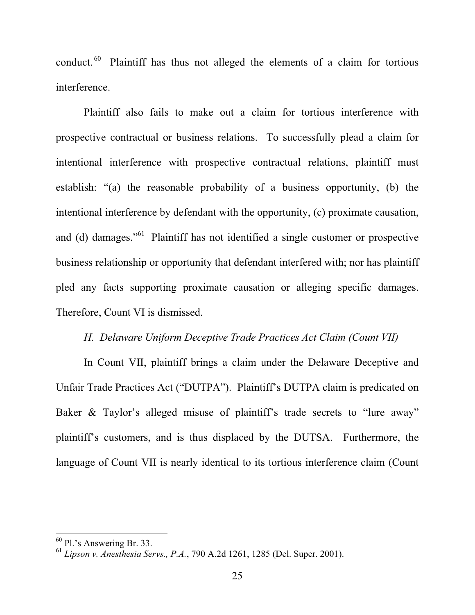conduct. 60 Plaintiff has thus not alleged the elements of a claim for tortious interference.

Plaintiff also fails to make out a claim for tortious interference with prospective contractual or business relations. To successfully plead a claim for intentional interference with prospective contractual relations, plaintiff must establish: "(a) the reasonable probability of a business opportunity, (b) the intentional interference by defendant with the opportunity, (c) proximate causation, and (d) damages."61 Plaintiff has not identified a single customer or prospective business relationship or opportunity that defendant interfered with; nor has plaintiff pled any facts supporting proximate causation or alleging specific damages. Therefore, Count VI is dismissed.

## *H. Delaware Uniform Deceptive Trade Practices Act Claim (Count VII)*

In Count VII, plaintiff brings a claim under the Delaware Deceptive and Unfair Trade Practices Act ("DUTPA"). Plaintiff's DUTPA claim is predicated on Baker & Taylor's alleged misuse of plaintiff's trade secrets to "lure away" plaintiff's customers, and is thus displaced by the DUTSA. Furthermore, the language of Count VII is nearly identical to its tortious interference claim (Count

 $60$  Pl.'s Answering Br. 33.

<sup>61</sup> *Lipson v. Anesthesia Servs., P.A.*, 790 A.2d 1261, 1285 (Del. Super. 2001).